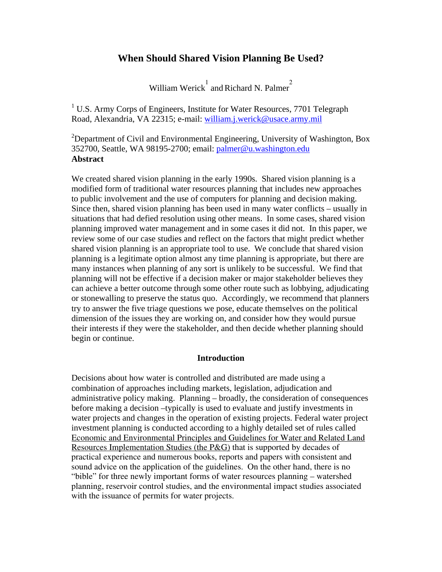# **When Should Shared Vision Planning Be Used?**

William Werick  $\frac{1}{2}$  and Richard N. Palmer

<sup>1</sup> U.S. Army Corps of Engineers, Institute for Water Resources, 7701 Telegraph Road, Alexandria, VA 22315; e-mail: william.j.werick@usace.army.mil

<sup>2</sup>Department of Civil and Environmental Engineering, University of Washington, Box 352700, Seattle, WA 98195-2700; email: palmer@u.washington.edu **Abstract** 

We created shared vision planning in the early 1990s. Shared vision planning is a modified form of traditional water resources planning that includes new approaches to public involvement and the use of computers for planning and decision making. Since then, shared vision planning has been used in many water conflicts – usually in situations that had defied resolution using other means. In some cases, shared vision planning improved water management and in some cases it did not. In this paper, we review some of our case studies and reflect on the factors that might predict whether shared vision planning is an appropriate tool to use. We conclude that shared vision planning is a legitimate option almost any time planning is appropriate, but there are many instances when planning of any sort is unlikely to be successful. We find that planning will not be effective if a decision maker or major stakeholder believes they can achieve a better outcome through some other route such as lobbying, adjudicating or stonewalling to preserve the status quo. Accordingly, we recommend that planners try to answer the five triage questions we pose, educate themselves on the political dimension of the issues they are working on, and consider how they would pursue their interests if they were the stakeholder, and then decide whether planning should begin or continue.

#### **Introduction**

Decisions about how water is controlled and distributed are made using a combination of approaches including markets, legislation, adjudication and administrative policy making. Planning – broadly, the consideration of consequences before making a decision –typically is used to evaluate and justify investments in water projects and changes in the operation of existing projects. Federal water project investment planning is conducted according to a highly detailed set of rules called Economic and Environmental Principles and Guidelines for Water and Related Land Resources Implementation Studies (the P&G) that is supported by decades of practical experience and numerous books, reports and papers with consistent and sound advice on the application of the guidelines. On the other hand, there is no "bible" for three newly important forms of water resources planning – watershed planning, reservoir control studies, and the environmental impact studies associated with the issuance of permits for water projects.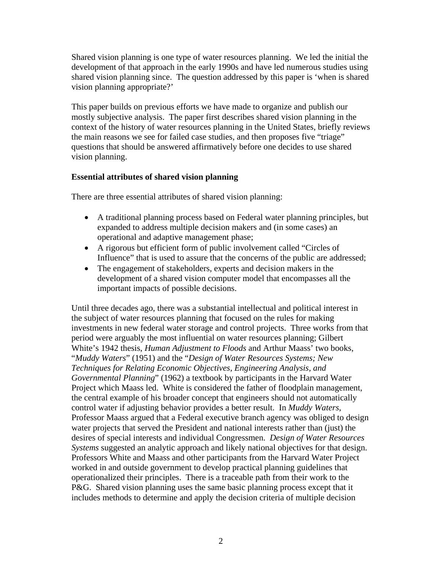Shared vision planning is one type of water resources planning. We led the initial the development of that approach in the early 1990s and have led numerous studies using shared vision planning since. The question addressed by this paper is 'when is shared vision planning appropriate?'

This paper builds on previous efforts we have made to organize and publish our mostly subjective analysis. The paper first describes shared vision planning in the context of the history of water resources planning in the United States, briefly reviews the main reasons we see for failed case studies, and then proposes five "triage" questions that should be answered affirmatively before one decides to use shared vision planning.

### **Essential attributes of shared vision planning**

There are three essential attributes of shared vision planning:

- A traditional planning process based on Federal water planning principles, but expanded to address multiple decision makers and (in some cases) an operational and adaptive management phase;
- A rigorous but efficient form of public involvement called "Circles of Influence" that is used to assure that the concerns of the public are addressed;
- The engagement of stakeholders, experts and decision makers in the development of a shared vision computer model that encompasses all the important impacts of possible decisions.

Until three decades ago, there was a substantial intellectual and political interest in the subject of water resources planning that focused on the rules for making investments in new federal water storage and control projects. Three works from that period were arguably the most influential on water resources planning; Gilbert White's 1942 thesis, *Human Adjustment to Floods* and Arthur Maass' two books, "*Muddy Waters*" (1951) and the "*Design of Water Resources Systems; New Techniques for Relating Economic Objectives, Engineering Analysis, and Governmental Planning*" (1962) a textbook by participants in the Harvard Water Project which Maass led. White is considered the father of floodplain management, the central example of his broader concept that engineers should not automatically control water if adjusting behavior provides a better result. In *Muddy Waters*, Professor Maass argued that a Federal executive branch agency was obliged to design water projects that served the President and national interests rather than (just) the desires of special interests and individual Congressmen. *Design of Water Resources Systems* suggested an analytic approach and likely national objectives for that design. Professors White and Maass and other participants from the Harvard Water Project worked in and outside government to develop practical planning guidelines that operationalized their principles. There is a traceable path from their work to the P&G. Shared vision planning uses the same basic planning process except that it includes methods to determine and apply the decision criteria of multiple decision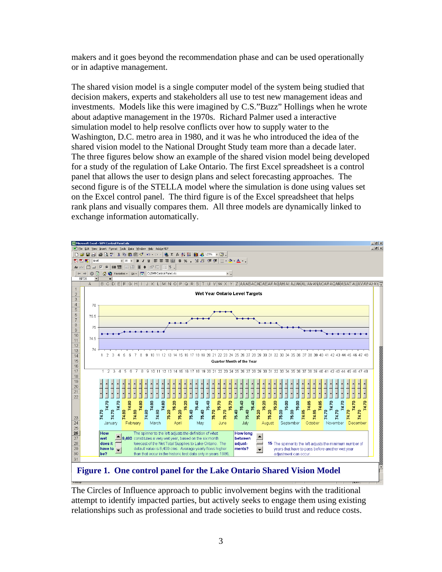makers and it goes beyond the recommendation phase and can be used operationally or in adaptive management.

The shared vision model is a single computer model of the system being studied that decision makers, experts and stakeholders all use to test new management ideas and investments. Models like this were imagined by C.S."Buzz" Hollings when he wrote about adaptive management in the 1970s. Richard Palmer used a interactive simulation model to help resolve conflicts over how to supply water to the Washington, D.C. metro area in 1980, and it was he who introduced the idea of the shared vision model to the National Drought Study team more than a decade later. The three figures below show an example of the shared vision model being developed for a study of the regulation of Lake Ontario. The first Excel spreadsheet is a control panel that allows the user to design plans and select forecasting approaches. The second figure is of the STELLA model where the simulation is done using values set on the Excel control panel. The third figure is of the Excel spreadsheet that helps rank plans and visually compares them. All three models are dynamically linked to exchange information automatically.



**Figure 1. One control panel for the Lake Ontario Shared Vision Model** 

The Circles of Influence approach to public involvement begins with the traditional attempt to identify impacted parties, but actively seeks to engage them using existing relationships such as professional and trade societies to build trust and reduce costs.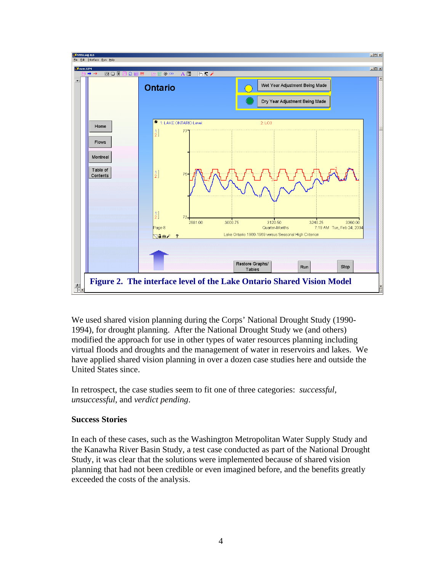

We used shared vision planning during the Corps' National Drought Study (1990- 1994), for drought planning. After the National Drought Study we (and others) modified the approach for use in other types of water resources planning including virtual floods and droughts and the management of water in reservoirs and lakes. We have applied shared vision planning in over a dozen case studies here and outside the United States since.

In retrospect, the case studies seem to fit one of three categories: *successful*, *unsuccessful*, and *verdict pending*.

### **Success Stories**

In each of these cases, such as the Washington Metropolitan Water Supply Study and the Kanawha River Basin Study, a test case conducted as part of the National Drought Study, it was clear that the solutions were implemented because of shared vision planning that had not been credible or even imagined before, and the benefits greatly exceeded the costs of the analysis.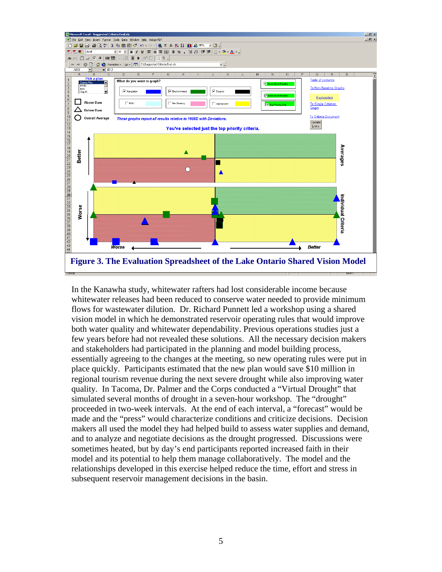

In the Kanawha study, whitewater rafters had lost considerable income because whitewater releases had been reduced to conserve water needed to provide minimum flows for wastewater dilution. Dr. Richard Punnett led a workshop using a shared vision model in which he demonstrated reservoir operating rules that would improve both water quality and whitewater dependability. Previous operations studies just a few years before had not revealed these solutions. All the necessary decision makers and stakeholders had participated in the planning and model building process, essentially agreeing to the changes at the meeting, so new operating rules were put in place quickly. Participants estimated that the new plan would save \$10 million in regional tourism revenue during the next severe drought while also improving water quality. In Tacoma, Dr. Palmer and the Corps conducted a "Virtual Drought" that simulated several months of drought in a seven-hour workshop. The "drought" proceeded in two-week intervals. At the end of each interval, a "forecast" would be made and the "press" would characterize conditions and criticize decisions. Decision makers all used the model they had helped build to assess water supplies and demand, and to analyze and negotiate decisions as the drought progressed. Discussions were sometimes heated, but by day's end participants reported increased faith in their model and its potential to help them manage collaboratively. The model and the relationships developed in this exercise helped reduce the time, effort and stress in subsequent reservoir management decisions in the basin.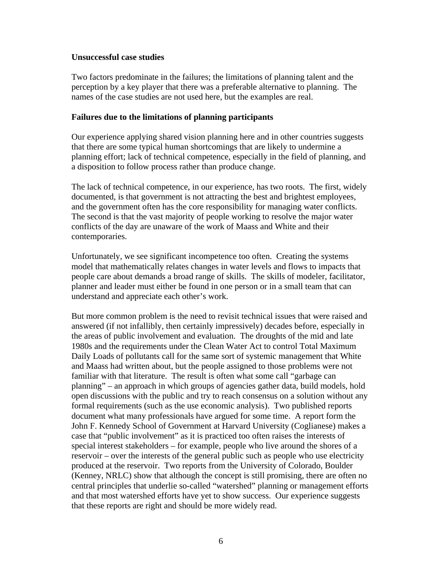### **Unsuccessful case studies**

Two factors predominate in the failures; the limitations of planning talent and the perception by a key player that there was a preferable alternative to planning. The names of the case studies are not used here, but the examples are real.

### **Failures due to the limitations of planning participants**

Our experience applying shared vision planning here and in other countries suggests that there are some typical human shortcomings that are likely to undermine a planning effort; lack of technical competence, especially in the field of planning, and a disposition to follow process rather than produce change.

The lack of technical competence, in our experience, has two roots. The first, widely documented, is that government is not attracting the best and brightest employees, and the government often has the core responsibility for managing water conflicts. The second is that the vast majority of people working to resolve the major water conflicts of the day are unaware of the work of Maass and White and their contemporaries.

Unfortunately, we see significant incompetence too often. Creating the systems model that mathematically relates changes in water levels and flows to impacts that people care about demands a broad range of skills. The skills of modeler, facilitator, planner and leader must either be found in one person or in a small team that can understand and appreciate each other's work.

But more common problem is the need to revisit technical issues that were raised and answered (if not infallibly, then certainly impressively) decades before, especially in the areas of public involvement and evaluation. The droughts of the mid and late 1980s and the requirements under the Clean Water Act to control Total Maximum Daily Loads of pollutants call for the same sort of systemic management that White and Maass had written about, but the people assigned to those problems were not familiar with that literature. The result is often what some call "garbage can planning" – an approach in which groups of agencies gather data, build models, hold open discussions with the public and try to reach consensus on a solution without any formal requirements (such as the use economic analysis). Two published reports document what many professionals have argued for some time. A report form the John F. Kennedy School of Government at Harvard University (Coglianese) makes a case that "public involvement" as it is practiced too often raises the interests of special interest stakeholders – for example, people who live around the shores of a reservoir – over the interests of the general public such as people who use electricity produced at the reservoir. Two reports from the University of Colorado, Boulder (Kenney, NRLC) show that although the concept is still promising, there are often no central principles that underlie so-called "watershed" planning or management efforts and that most watershed efforts have yet to show success. Our experience suggests that these reports are right and should be more widely read.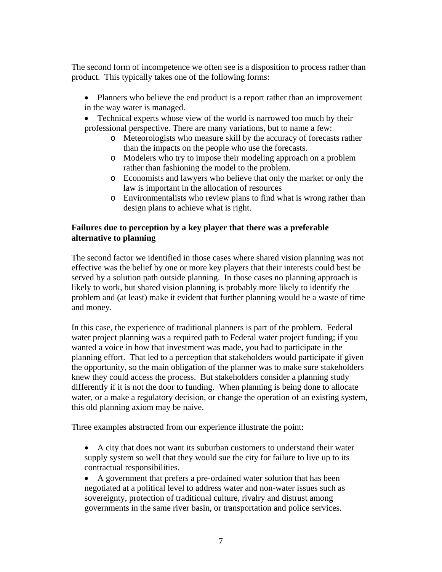The second form of incompetence we often see is a disposition to process rather than product. This typically takes one of the following forms:

- Planners who believe the end product is a report rather than an improvement in the way water is managed.
- Technical experts whose view of the world is narrowed too much by their professional perspective. There are many variations, but to name a few:
	- o Meteorologists who measure skill by the accuracy of forecasts rather than the impacts on the people who use the forecasts.
	- o Modelers who try to impose their modeling approach on a problem rather than fashioning the model to the problem.
	- o Economists and lawyers who believe that only the market or only the law is important in the allocation of resources
	- o Environmentalists who review plans to find what is wrong rather than design plans to achieve what is right.

## **Failures due to perception by a key player that there was a preferable alternative to planning**

The second factor we identified in those cases where shared vision planning was not effective was the belief by one or more key players that their interests could best be served by a solution path outside planning. In those cases no planning approach is likely to work, but shared vision planning is probably more likely to identify the problem and (at least) make it evident that further planning would be a waste of time and money.

In this case, the experience of traditional planners is part of the problem. Federal water project planning was a required path to Federal water project funding; if you wanted a voice in how that investment was made, you had to participate in the planning effort. That led to a perception that stakeholders would participate if given the opportunity, so the main obligation of the planner was to make sure stakeholders knew they could access the process. But stakeholders consider a planning study differently if it is not the door to funding. When planning is being done to allocate water, or a make a regulatory decision, or change the operation of an existing system, this old planning axiom may be naive.

Three examples abstracted from our experience illustrate the point:

- A city that does not want its suburban customers to understand their water supply system so well that they would sue the city for failure to live up to its contractual responsibilities.
- A government that prefers a pre-ordained water solution that has been negotiated at a political level to address water and non-water issues such as sovereignty, protection of traditional culture, rivalry and distrust among governments in the same river basin, or transportation and police services.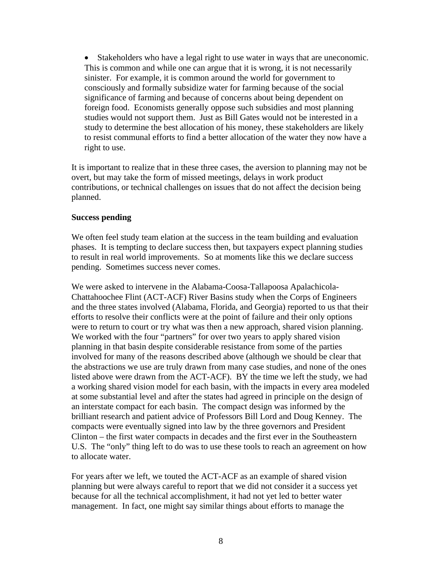• Stakeholders who have a legal right to use water in ways that are uneconomic. This is common and while one can argue that it is wrong, it is not necessarily sinister. For example, it is common around the world for government to consciously and formally subsidize water for farming because of the social significance of farming and because of concerns about being dependent on foreign food. Economists generally oppose such subsidies and most planning studies would not support them. Just as Bill Gates would not be interested in a study to determine the best allocation of his money, these stakeholders are likely to resist communal efforts to find a better allocation of the water they now have a right to use.

It is important to realize that in these three cases, the aversion to planning may not be overt, but may take the form of missed meetings, delays in work product contributions, or technical challenges on issues that do not affect the decision being planned.

#### **Success pending**

We often feel study team elation at the success in the team building and evaluation phases. It is tempting to declare success then, but taxpayers expect planning studies to result in real world improvements. So at moments like this we declare success pending. Sometimes success never comes.

We were asked to intervene in the Alabama-Coosa-Tallapoosa Apalachicola-Chattahoochee Flint (ACT-ACF) River Basins study when the Corps of Engineers and the three states involved (Alabama, Florida, and Georgia) reported to us that their efforts to resolve their conflicts were at the point of failure and their only options were to return to court or try what was then a new approach, shared vision planning. We worked with the four "partners" for over two years to apply shared vision planning in that basin despite considerable resistance from some of the parties involved for many of the reasons described above (although we should be clear that the abstractions we use are truly drawn from many case studies, and none of the ones listed above were drawn from the ACT-ACF). BY the time we left the study, we had a working shared vision model for each basin, with the impacts in every area modeled at some substantial level and after the states had agreed in principle on the design of an interstate compact for each basin. The compact design was informed by the brilliant research and patient advice of Professors Bill Lord and Doug Kenney. The compacts were eventually signed into law by the three governors and President Clinton – the first water compacts in decades and the first ever in the Southeastern U.S. The "only" thing left to do was to use these tools to reach an agreement on how to allocate water.

For years after we left, we touted the ACT-ACF as an example of shared vision planning but were always careful to report that we did not consider it a success yet because for all the technical accomplishment, it had not yet led to better water management. In fact, one might say similar things about efforts to manage the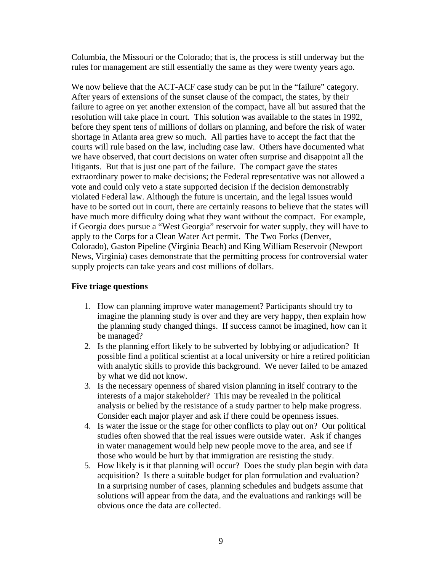Columbia, the Missouri or the Colorado; that is, the process is still underway but the rules for management are still essentially the same as they were twenty years ago.

We now believe that the ACT-ACF case study can be put in the "failure" category. After years of extensions of the sunset clause of the compact, the states, by their failure to agree on yet another extension of the compact, have all but assured that the resolution will take place in court. This solution was available to the states in 1992, before they spent tens of millions of dollars on planning, and before the risk of water shortage in Atlanta area grew so much. All parties have to accept the fact that the courts will rule based on the law, including case law. Others have documented what we have observed, that court decisions on water often surprise and disappoint all the litigants. But that is just one part of the failure. The compact gave the states extraordinary power to make decisions; the Federal representative was not allowed a vote and could only veto a state supported decision if the decision demonstrably violated Federal law. Although the future is uncertain, and the legal issues would have to be sorted out in court, there are certainly reasons to believe that the states will have much more difficulty doing what they want without the compact. For example, if Georgia does pursue a "West Georgia" reservoir for water supply, they will have to apply to the Corps for a Clean Water Act permit. The Two Forks (Denver, Colorado), Gaston Pipeline (Virginia Beach) and King William Reservoir (Newport News, Virginia) cases demonstrate that the permitting process for controversial water supply projects can take years and cost millions of dollars.

## **Five triage questions**

- 1. How can planning improve water management? Participants should try to imagine the planning study is over and they are very happy, then explain how the planning study changed things. If success cannot be imagined, how can it be managed?
- 2. Is the planning effort likely to be subverted by lobbying or adjudication? If possible find a political scientist at a local university or hire a retired politician with analytic skills to provide this background. We never failed to be amazed by what we did not know.
- 3. Is the necessary openness of shared vision planning in itself contrary to the interests of a major stakeholder? This may be revealed in the political analysis or belied by the resistance of a study partner to help make progress. Consider each major player and ask if there could be openness issues.
- 4. Is water the issue or the stage for other conflicts to play out on? Our political studies often showed that the real issues were outside water. Ask if changes in water management would help new people move to the area, and see if those who would be hurt by that immigration are resisting the study.
- 5. How likely is it that planning will occur? Does the study plan begin with data acquisition? Is there a suitable budget for plan formulation and evaluation? In a surprising number of cases, planning schedules and budgets assume that solutions will appear from the data, and the evaluations and rankings will be obvious once the data are collected.